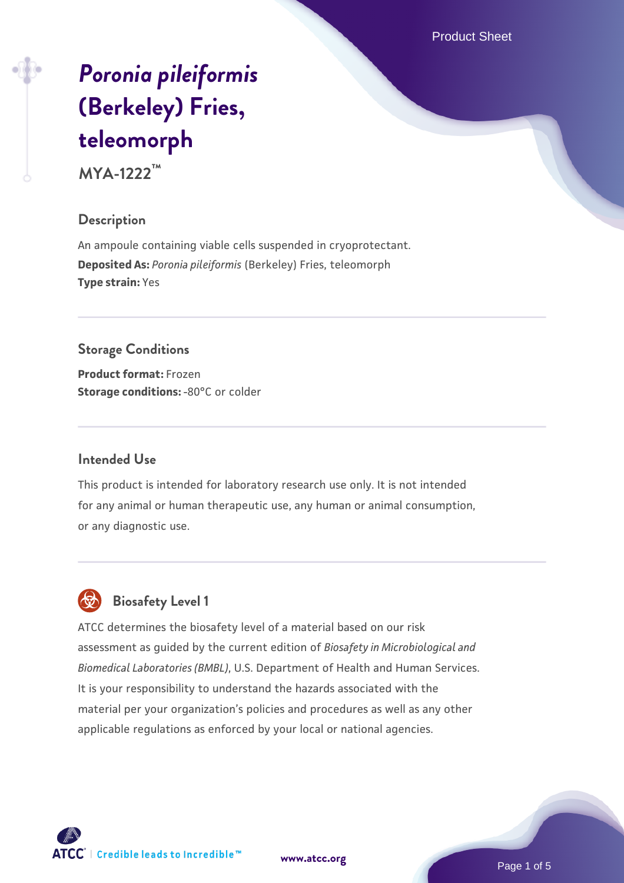Product Sheet

# *[Poronia pileiformis](https://www.atcc.org/products/mya-1222)* **[\(Berkeley\) Fries,](https://www.atcc.org/products/mya-1222) [teleomorph](https://www.atcc.org/products/mya-1222)**

**MYA-1222™**

## **Description**

An ampoule containing viable cells suspended in cryoprotectant. **Deposited As:** *Poronia pileiformis* (Berkeley) Fries, teleomorph **Type strain:** Yes

**Storage Conditions Product format:** Frozen **Storage conditions: -80°C or colder** 

#### **Intended Use**

This product is intended for laboratory research use only. It is not intended for any animal or human therapeutic use, any human or animal consumption, or any diagnostic use.

# **Biosafety Level 1**

ATCC determines the biosafety level of a material based on our risk assessment as guided by the current edition of *Biosafety in Microbiological and Biomedical Laboratories (BMBL)*, U.S. Department of Health and Human Services. It is your responsibility to understand the hazards associated with the material per your organization's policies and procedures as well as any other applicable regulations as enforced by your local or national agencies.

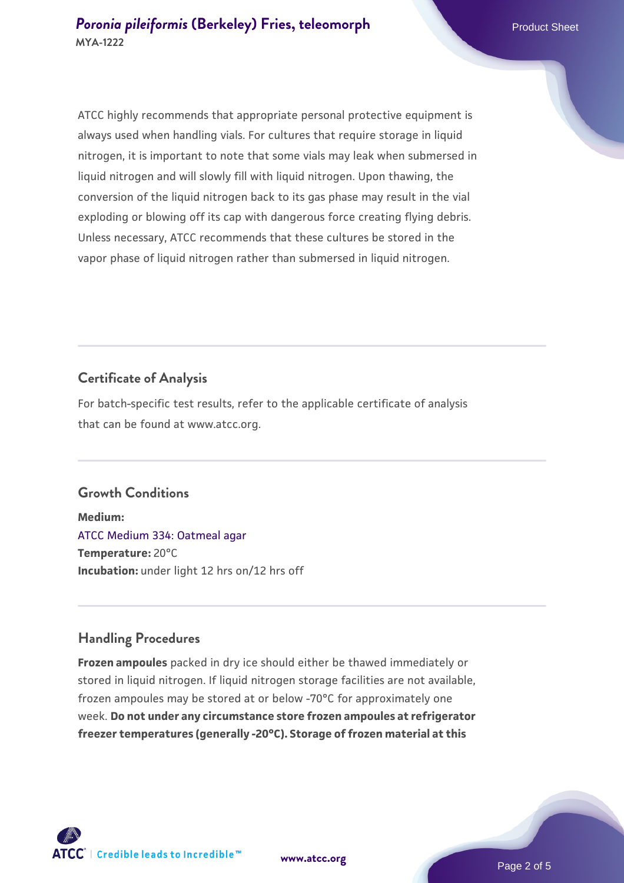ATCC highly recommends that appropriate personal protective equipment is always used when handling vials. For cultures that require storage in liquid nitrogen, it is important to note that some vials may leak when submersed in liquid nitrogen and will slowly fill with liquid nitrogen. Upon thawing, the conversion of the liquid nitrogen back to its gas phase may result in the vial exploding or blowing off its cap with dangerous force creating flying debris. Unless necessary, ATCC recommends that these cultures be stored in the vapor phase of liquid nitrogen rather than submersed in liquid nitrogen.

### **Certificate of Analysis**

For batch-specific test results, refer to the applicable certificate of analysis that can be found at www.atcc.org.

#### **Growth Conditions**

**Medium:**  [ATCC Medium 334: Oatmeal agar](https://www.atcc.org/-/media/product-assets/documents/microbial-media-formulations/3/3/4/atcc-medium-334.pdf?rev=e382a75a48794764902dd7457c97fc29) **Temperature:** 20°C **Incubation:** under light 12 hrs on/12 hrs off

# **Handling Procedures**

**Frozen ampoules** packed in dry ice should either be thawed immediately or stored in liquid nitrogen. If liquid nitrogen storage facilities are not available, frozen ampoules may be stored at or below -70°C for approximately one week. **Do not under any circumstance store frozen ampoules at refrigerator freezer temperatures (generally -20°C). Storage of frozen material at this**

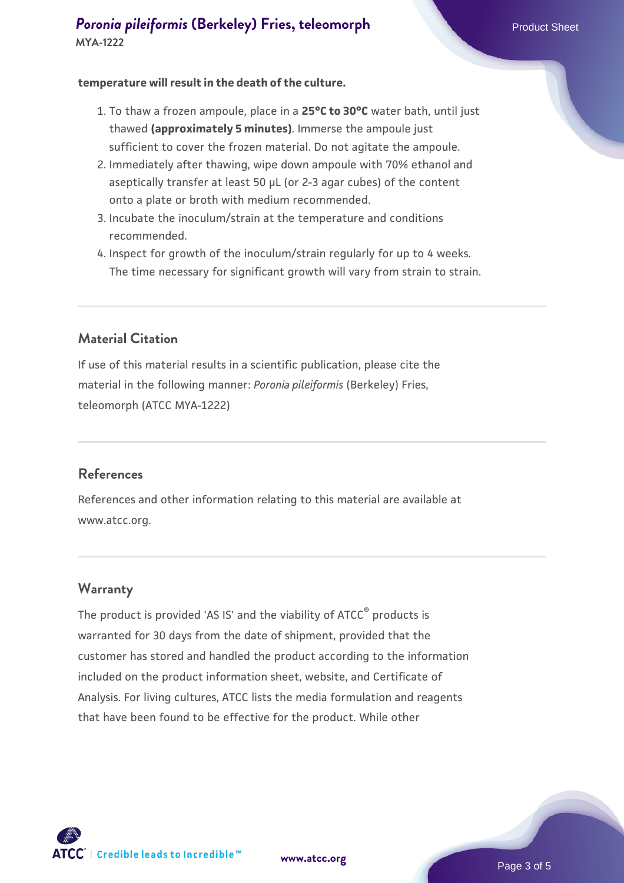#### **[Poronia pileiformis](https://www.atcc.org/products/mya-1222) [\(Berkeley\) Fries, teleomorph](https://www.atcc.org/products/mya-1222)** Product Sheet **MYA-1222**

#### **temperature will result in the death of the culture.**

- 1. To thaw a frozen ampoule, place in a **25°C to 30°C** water bath, until just thawed **(approximately 5 minutes)**. Immerse the ampoule just sufficient to cover the frozen material. Do not agitate the ampoule.
- 2. Immediately after thawing, wipe down ampoule with 70% ethanol and aseptically transfer at least 50 µL (or 2-3 agar cubes) of the content onto a plate or broth with medium recommended.
- 3. Incubate the inoculum/strain at the temperature and conditions recommended.
- 4. Inspect for growth of the inoculum/strain regularly for up to 4 weeks. The time necessary for significant growth will vary from strain to strain.

#### **Material Citation**

If use of this material results in a scientific publication, please cite the material in the following manner: *Poronia pileiformis* (Berkeley) Fries, teleomorph (ATCC MYA-1222)

#### **References**

References and other information relating to this material are available at www.atcc.org.

#### **Warranty**

The product is provided 'AS IS' and the viability of ATCC<sup>®</sup> products is warranted for 30 days from the date of shipment, provided that the customer has stored and handled the product according to the information included on the product information sheet, website, and Certificate of Analysis. For living cultures, ATCC lists the media formulation and reagents that have been found to be effective for the product. While other

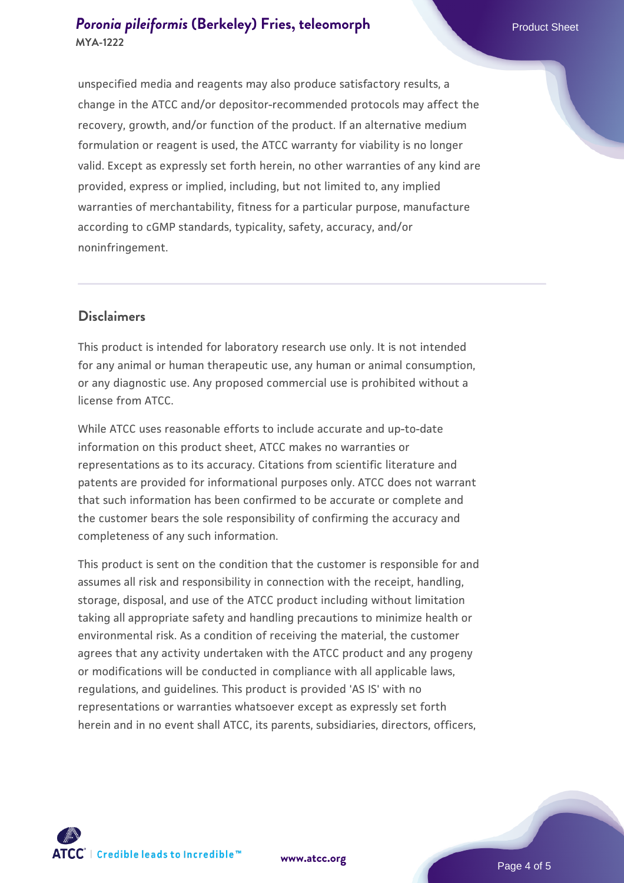#### **[Poronia pileiformis](https://www.atcc.org/products/mya-1222) [\(Berkeley\) Fries, teleomorph](https://www.atcc.org/products/mya-1222)** Product Sheet **MYA-1222**

unspecified media and reagents may also produce satisfactory results, a change in the ATCC and/or depositor-recommended protocols may affect the recovery, growth, and/or function of the product. If an alternative medium formulation or reagent is used, the ATCC warranty for viability is no longer valid. Except as expressly set forth herein, no other warranties of any kind are provided, express or implied, including, but not limited to, any implied warranties of merchantability, fitness for a particular purpose, manufacture according to cGMP standards, typicality, safety, accuracy, and/or noninfringement.

#### **Disclaimers**

This product is intended for laboratory research use only. It is not intended for any animal or human therapeutic use, any human or animal consumption, or any diagnostic use. Any proposed commercial use is prohibited without a license from ATCC.

While ATCC uses reasonable efforts to include accurate and up-to-date information on this product sheet, ATCC makes no warranties or representations as to its accuracy. Citations from scientific literature and patents are provided for informational purposes only. ATCC does not warrant that such information has been confirmed to be accurate or complete and the customer bears the sole responsibility of confirming the accuracy and completeness of any such information.

This product is sent on the condition that the customer is responsible for and assumes all risk and responsibility in connection with the receipt, handling, storage, disposal, and use of the ATCC product including without limitation taking all appropriate safety and handling precautions to minimize health or environmental risk. As a condition of receiving the material, the customer agrees that any activity undertaken with the ATCC product and any progeny or modifications will be conducted in compliance with all applicable laws, regulations, and guidelines. This product is provided 'AS IS' with no representations or warranties whatsoever except as expressly set forth herein and in no event shall ATCC, its parents, subsidiaries, directors, officers,



**[www.atcc.org](http://www.atcc.org)**

Page 4 of 5